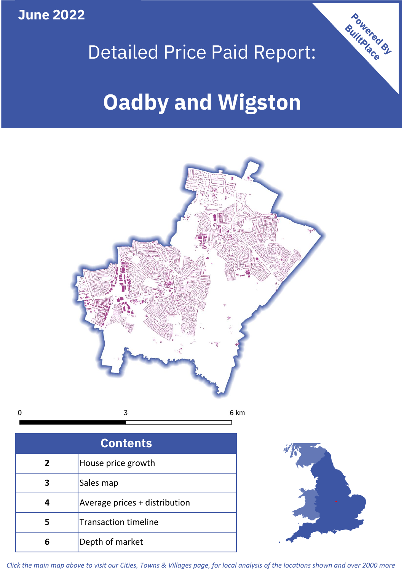**June 2022**

 $\mathbf 0$ 



# Detailed Price Paid Report:

# **Oadby and Wigston**



| <b>Contents</b> |                               |  |  |
|-----------------|-------------------------------|--|--|
| $\mathbf{2}$    | House price growth            |  |  |
|                 | Sales map                     |  |  |
|                 | Average prices + distribution |  |  |
| 5               | <b>Transaction timeline</b>   |  |  |
| 6               | Depth of market               |  |  |



*Click the main map above to visit our Cities, Towns & Villages page, for local analysis of the locations shown and over 2000 more*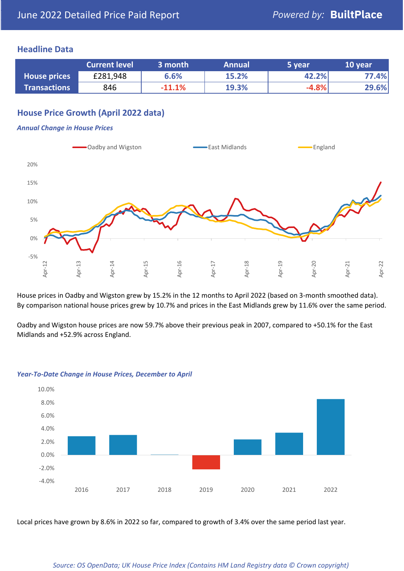# **Headline Data**

|                     | <b>Current level</b> | 3 month  | <b>Annual</b> | 5 year  | 10 year |
|---------------------|----------------------|----------|---------------|---------|---------|
| <b>House prices</b> | £281,948             | 6.6%     | 15.2%         | 42.2%   | 77.4%   |
| <b>Transactions</b> | 846                  | $-11.1%$ | 19.3%         | $-4.8%$ | 29.6%   |

# **House Price Growth (April 2022 data)**

### *Annual Change in House Prices*



House prices in Oadby and Wigston grew by 15.2% in the 12 months to April 2022 (based on 3-month smoothed data). By comparison national house prices grew by 10.7% and prices in the East Midlands grew by 11.6% over the same period.

Oadby and Wigston house prices are now 59.7% above their previous peak in 2007, compared to +50.1% for the East Midlands and +52.9% across England.



#### *Year-To-Date Change in House Prices, December to April*

Local prices have grown by 8.6% in 2022 so far, compared to growth of 3.4% over the same period last year.

#### *Source: OS OpenData; UK House Price Index (Contains HM Land Registry data © Crown copyright)*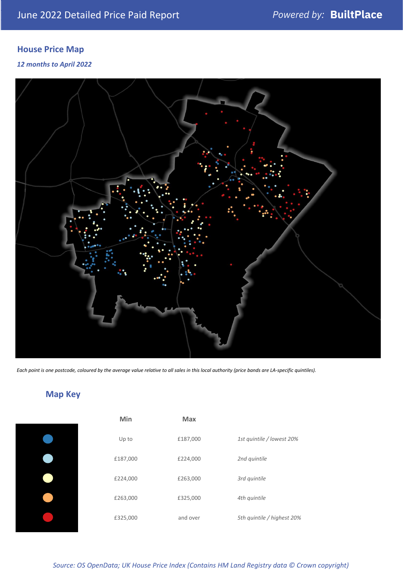# **House Price Map**

*12 months to April 2022*



*Each point is one postcode, coloured by the average value relative to all sales in this local authority (price bands are LA-specific quintiles).*

**Map Key**

| Min      | <b>Max</b> |                            |
|----------|------------|----------------------------|
| Up to    | £187,000   | 1st quintile / lowest 20%  |
| £187,000 | £224,000   | 2nd quintile               |
| £224,000 | £263,000   | 3rd quintile               |
| £263,000 | £325,000   | 4th quintile               |
| £325,000 | and over   | 5th quintile / highest 20% |

### *Source: OS OpenData; UK House Price Index (Contains HM Land Registry data © Crown copyright)*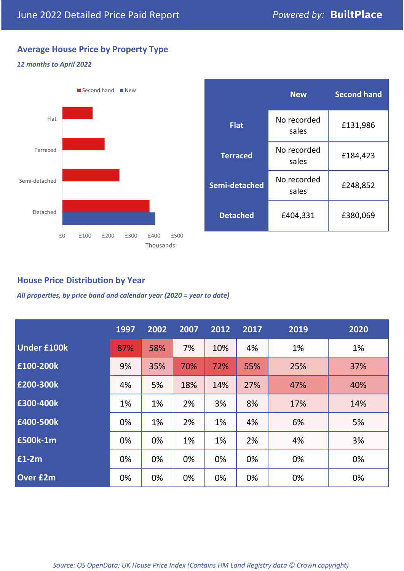# **Average House Price by Property Type**

## *12 months to April 2022*



|                 | <b>New</b>           | <b>Second hand</b> |  |
|-----------------|----------------------|--------------------|--|
| <b>Flat</b>     | No recorded<br>sales | £131,986           |  |
| <b>Terraced</b> | No recorded<br>sales | £184,423           |  |
| Semi-detached   | No recorded<br>sales | £248,852           |  |
| <b>Detached</b> | £404,331             | £380,069           |  |

# **House Price Distribution by Year**

*All properties, by price band and calendar year (2020 = year to date)*

|                    | 1997 | 2002 | 2007 | 2012 | 2017 | 2019 | 2020 |
|--------------------|------|------|------|------|------|------|------|
| <b>Under £100k</b> | 87%  | 58%  | 7%   | 10%  | 4%   | 1%   | 1%   |
| £100-200k          | 9%   | 35%  | 70%  | 72%  | 55%  | 25%  | 37%  |
| E200-300k          | 4%   | 5%   | 18%  | 14%  | 27%  | 47%  | 40%  |
| £300-400k          | 1%   | 1%   | 2%   | 3%   | 8%   | 17%  | 14%  |
| £400-500k          | 0%   | 1%   | 2%   | 1%   | 4%   | 6%   | 5%   |
| <b>£500k-1m</b>    | 0%   | 0%   | 1%   | 1%   | 2%   | 4%   | 3%   |
| £1-2m              | 0%   | 0%   | 0%   | 0%   | 0%   | 0%   | 0%   |
| <b>Over £2m</b>    | 0%   | 0%   | 0%   | 0%   | 0%   | 0%   | 0%   |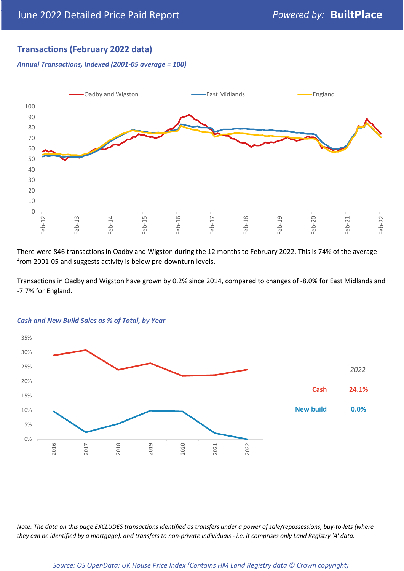# **Transactions (February 2022 data)**

*Annual Transactions, Indexed (2001-05 average = 100)*



There were 846 transactions in Oadby and Wigston during the 12 months to February 2022. This is 74% of the average from 2001-05 and suggests activity is below pre-downturn levels.

Transactions in Oadby and Wigston have grown by 0.2% since 2014, compared to changes of -8.0% for East Midlands and -7.7% for England.



#### *Cash and New Build Sales as % of Total, by Year*

*Note: The data on this page EXCLUDES transactions identified as transfers under a power of sale/repossessions, buy-to-lets (where they can be identified by a mortgage), and transfers to non-private individuals - i.e. it comprises only Land Registry 'A' data.*